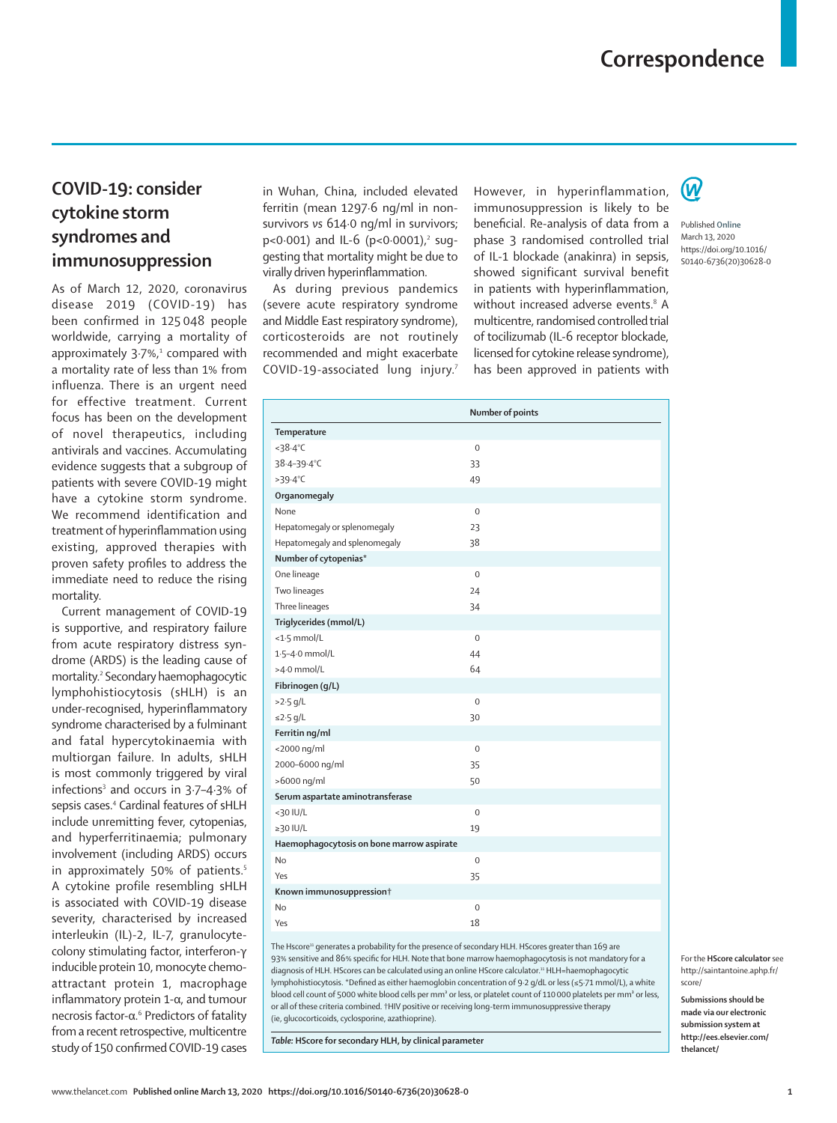## **COVID-19: consider cytokine storm syndromes and immunosuppression**

As of March 12, 2020, coronavirus disease 2019 (COVID-19) has been confirmed in 125 048 people worldwide, carrying a mortality of approximately  $3.7\%$ ,<sup>1</sup> compared with a mortality rate of less than 1% from influenza. There is an urgent need for effective treatment. Current focus has been on the development of novel therapeutics, including antivirals and vaccines. Accumulating evidence suggests that a subgroup of patients with severe COVID-19 might have a cytokine storm syndrome. We recommend identification and treatment of hyperinflammation using existing, approved therapies with proven safety profiles to address the immediate need to reduce the rising mortality.

Current management of COVID-19 is supportive, and respiratory failure from acute respiratory distress syndrome (ARDS) is the leading cause of mortality.2 Secondary haemophagocytic lymphohistiocytosis (sHLH) is an under-recognised, hyperinflammatory syndrome characterised by a fulminant and fatal hypercytokinaemia with multiorgan failure. In adults, sHLH is most commonly triggered by viral infections<sup>3</sup> and occurs in 3.7-4.3% of sepsis cases.<sup>4</sup> Cardinal features of sHLH include unremitting fever, cytopenias, and hyperferritinaemia; pulmonary involvement (including ARDS) occurs in approximately 50% of patients.<sup>5</sup> A cytokine profile resembling sHLH is associated with COVID-19 disease severity, characterised by increased interleukin (IL)-2, IL-7, granulocytecolony stimulating factor, interferon-γ inducible protein 10, monocyte chemoattractant protein 1, macrophage inflammatory protein 1-α, and tumour necrosis factor-α.<sup>6</sup> Predictors of fatality from a recent retrospective, multicentre study of 150 confirmed COVID-19 cases in Wuhan, China, included elevated ferritin (mean 1297·6 ng/ml in nonsurvivors *vs* 614·0 ng/ml in survivors; p<0·001) and IL-6 (p<0·0001),<sup>2</sup> suggesting that mortality might be due to virally driven hyperinflammation.

As during previous pandemics (severe acute respiratory syndrome and Middle East respiratory syndrome), corticosteroids are not routinely recommended and might exacerbate COVID-19-associated lung injury.7 However, in hyperinflammation, immunosuppression is likely to be beneficial. Re-analysis of data from a phase 3 randomised controlled trial of IL-1 blockade (anakinra) in sepsis, showed significant survival benefit in patients with hyperinflammation, without increased adverse events.<sup>8</sup> A multicentre, randomised controlled trial of tocilizumab (IL-6 receptor blockade, licensed for cytokine release syndrome), has been approved in patients with



Published **Online** March 13, 2020 https://doi.org/10.1016/ S0140-6736(20)30628-0

|                                           | Number of points    |
|-------------------------------------------|---------------------|
| Temperature                               |                     |
| $<$ 38.4 $°C$                             | $\mathbf 0$         |
| 38-4-39-4°C                               | 33                  |
| $>39.4^{\circ}C$                          | 49                  |
| Organomegaly                              |                     |
| None                                      | $\mathsf{O}\xspace$ |
| Hepatomegaly or splenomegaly              | 23                  |
| Hepatomegaly and splenomegaly             | 38                  |
| Number of cytopenias*                     |                     |
| One lineage                               | $\mathbf 0$         |
| Two lineages                              | 24                  |
| Three lineages                            | 34                  |
| Triglycerides (mmol/L)                    |                     |
| $<$ 1.5 mmol/L                            | $\mathbf 0$         |
| 1.5-4.0 mmol/L                            | 44                  |
| >4.0 mmol/L                               | 64                  |
| Fibrinogen (g/L)                          |                     |
| $>2.5$ g/L                                | $\mathbf 0$         |
| $\leq$ 2.5 g/L                            | 30                  |
| Ferritin ng/ml                            |                     |
| <2000 ng/ml                               | $\mathsf{O}\xspace$ |
| 2000-6000 ng/ml                           | 35                  |
| >6000 ng/ml                               | 50                  |
| Serum aspartate aminotransferase          |                     |
| $<$ 30 IU/L                               | $\mathbf 0$         |
| $\geq$ 30 IU/L                            | 19                  |
| Haemophagocytosis on bone marrow aspirate |                     |
| <b>No</b>                                 | $\mathsf{O}\xspace$ |
| Yes                                       | 35                  |
| Known immunosuppression†                  |                     |
| <b>No</b>                                 | 0                   |
| Yes                                       | 18                  |

The Hscore<sup>11</sup> generates a probability for the presence of secondary HLH. HScores greater than 169 are 93% sensitive and 86% specific for HLH. Note that bone marrow haemophagocytosis is not mandatory for a diagnosis of HLH. HScores can be calculated using an [online HScore calculator](http://saintantoine.aphp.fr/score/).11 HLH=haemophagocytic lymphohistiocytosis. \*Defined as either haemoglobin concentration of 9·2 g/dL or less (≤5·71 mmol/L), a white blood cell count of 5000 white blood cells per mm<sup>3</sup> or less, or platelet count of 110000 platelets per mm<sup>3</sup> or less, or all of these criteria combined. †HIV positive or receiving long-term immunosuppressive therapy (ie, glucocorticoids, cyclosporine, azathioprine).

*Table:* **HScore for secondary HLH, by clinical parameter**

For the **HScore calculator** see [http://saintantoine.aphp.fr/](http://saintantoine.aphp.fr/score/) [score/](http://saintantoine.aphp.fr/score/)

**Submissions should be made via our electronic submission system at http://ees.elsevier.com/ thelancet/**